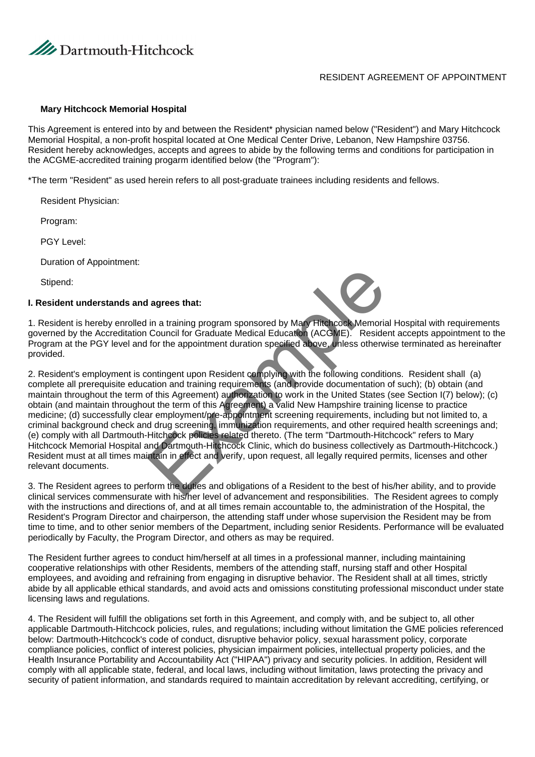

## RESIDENT AGREEMENT OF APPOINTMENT

#### **Mary Hitchcock Memorial Hospital**

This Agreement is entered into by and between the Resident\* physician named below ("Resident") and Mary Hitchcock Memorial Hospital, a non-profit hospital located at One Medical Center Drive, Lebanon, New Hampshire 03756. Resident hereby acknowledges, accepts and agrees to abide by the following terms and conditions for participation in the ACGME-accredited training progarm identified below (the "Program"):

\*The term "Resident" as used herein refers to all post-graduate trainees including residents and fellows.

Resident Physician:

Program:

PGY Level:

Duration of Appointment:

Stipend:

#### **I. Resident understands and agrees that:**



1. Resident is hereby enrolled in a training program sponsored by Mary Hitchcock Memorial Hospital with requirements governed by the Accreditation Council for Graduate Medical Education (ACGME). Resident accepts appointment to the Program at the PGY level and for the appointment duration specified above, unless otherwise terminated as hereinafter provided.

2. Resident's employment is contingent upon Resident complying with the following conditions. Resident shall (a) complete all prerequisite education and training requirements (and provide documentation of such); (b) obtain (and maintain throughout the term of this Agreement) authorization to work in the United States (see Section I(7) below); (c) obtain (and maintain throughout the term of this Agreement) a valid New Hampshire training license to practice medicine; (d) successfully clear employment/pre-appointment screening requirements, including but not limited to, a criminal background check and drug screening, immunization requirements, and other required health screenings and; (e) comply with all Dartmouth-Hitchcock policies related thereto. (The term "Dartmouth-Hitchcock" refers to Mary Hitchcock Memorial Hospital and Dartmouth-Hitchcock Clinic, which do business collectively as Dartmouth-Hitchcock.) Resident must at all times maintain in effect and verify, upon request, all legally required permits, licenses and other relevant documents. I agrees that:<br>
in a training program sponsored by Mary Flitchcock Memoria<br>
Council for Graduate Medical Education (ACGME). Reside<br>
for the appointment duration specified above, unless otherw<br>
ontingent upon Resident compl

3. The Resident agrees to perform the duties and obligations of a Resident to the best of his/her ability, and to provide clinical services commensurate with his/her level of advancement and responsibilities. The Resident agrees to comply with the instructions and directions of, and at all times remain accountable to, the administration of the Hospital, the Resident's Program Director and chairperson, the attending staff under whose supervision the Resident may be from time to time, and to other senior members of the Department, including senior Residents. Performance will be evaluated periodically by Faculty, the Program Director, and others as may be required.

The Resident further agrees to conduct him/herself at all times in a professional manner, including maintaining cooperative relationships with other Residents, members of the attending staff, nursing staff and other Hospital employees, and avoiding and refraining from engaging in disruptive behavior. The Resident shall at all times, strictly abide by all applicable ethical standards, and avoid acts and omissions constituting professional misconduct under state licensing laws and regulations.

4. The Resident will fulfill the obligations set forth in this Agreement, and comply with, and be subject to, all other applicable Dartmouth-Hitchcock policies, rules, and regulations; including without limitation the GME policies referenced below: Dartmouth-Hitchcock's code of conduct, disruptive behavior policy, sexual harassment policy, corporate compliance policies, conflict of interest policies, physician impairment policies, intellectual property policies, and the Health Insurance Portability and Accountability Act ("HIPAA") privacy and security policies. In addition, Resident will comply with all applicable state, federal, and local laws, including without limitation, laws protecting the privacy and security of patient information, and standards required to maintain accreditation by relevant accrediting, certifying, or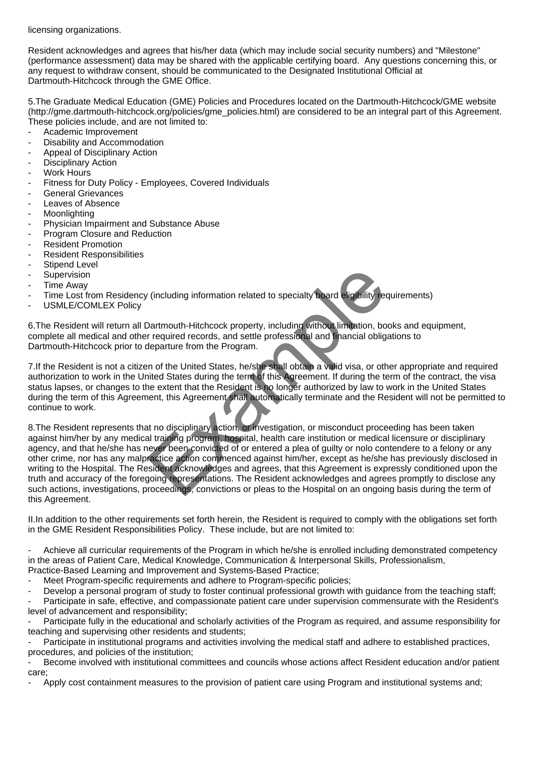licensing organizations.

Resident acknowledges and agrees that his/her data (which may include social security numbers) and "Milestone" (performance assessment) data may be shared with the applicable certifying board. Any questions concerning this, or any request to withdraw consent, should be communicated to the Designated Institutional Official at Dartmouth-Hitchcock through the GME Office.

5. The Graduate Medical Education (GME) Policies and Procedures located on the Dartmouth-Hitchcock/GME website (http://gme.dartmouth-hitchcock.org/policies/gme\_policies.html) are considered to be an integral part of this Agreement. These policies include, and are not limited to:

- Academic Improvement
- Disability and Accommodation
- Appeal of Disciplinary Action
- Disciplinary Action
- Work Hours
- Fitness for Duty Policy Employees, Covered Individuals
- General Grievances
- Leaves of Absence
- Moonlighting
- Physician Impairment and Substance Abuse
- Program Closure and Reduction
- Resident Promotion
- Resident Responsibilities
- Stipend Level
- Supervision
- Time Away
- Time Lost from Residency (including information related to specialty board eligibility requirements)
- USMLE/COMLEX Policy

6. The Resident will return all Dartmouth-Hitchcock property, including without limitation, books and equipment, complete all medical and other required records, and settle professional and financial obligations to Dartmouth-Hitchcock prior to departure from the Program.

7. If the Resident is not a citizen of the United States, he/she shall obtain a valid visa, or other appropriate and required authorization to work in the United States during the term of this Agreement. If during the term of the contract, the visa status lapses, or changes to the extent that the Resident is no longer authorized by law to work in the United States during the term of this Agreement, this Agreement shall automatically terminate and the Resident will not be permitted to continue to work.

8. The Resident represents that no disciplinary action, or investigation, or misconduct proceeding has been taken against him/her by any medical training program, hospital, health care institution or medical licensure or disciplinary agency, and that he/she has never been convicted of or entered a plea of guilty or nolo contendere to a felony or any other crime, nor has any malpractice action commenced against him/her, except as he/she has previously disclosed in writing to the Hospital. The Resident acknowledges and agrees, that this Agreement is expressly conditioned upon the truth and accuracy of the foregoing representations. The Resident acknowledges and agrees promptly to disclose any such actions, investigations, proceedings, convictions or pleas to the Hospital on an ongoing basis during the term of this Agreement. (including information related to specialty board eligibility red<br>
Dartmouth-Hitchcock property, including without limitation, bor<br>
Frequired records, and settle professional and financial oblig<br>
departure from the Program

II. In addition to the other requirements set forth herein, the Resident is required to comply with the obligations set forth in the GME Resident Responsibilities Policy. These include, but are not limited to:

- Achieve all curricular requirements of the Program in which he/she is enrolled including demonstrated competency in the areas of Patient Care, Medical Knowledge, Communication & Interpersonal Skills, Professionalism,

Practice-Based Learning and Improvement and Systems-Based Practice;

Meet Program-specific requirements and adhere to Program-specific policies;

Develop a personal program of study to foster continual professional growth with guidance from the teaching staff;

Participate in safe, effective, and compassionate patient care under supervision commensurate with the Resident's level of advancement and responsibility;

Participate fully in the educational and scholarly activities of the Program as required, and assume responsibility for teaching and supervising other residents and students;

Participate in institutional programs and activities involving the medical staff and adhere to established practices, procedures, and policies of the institution;

Become involved with institutional committees and councils whose actions affect Resident education and/or patient care;

- Apply cost containment measures to the provision of patient care using Program and institutional systems and;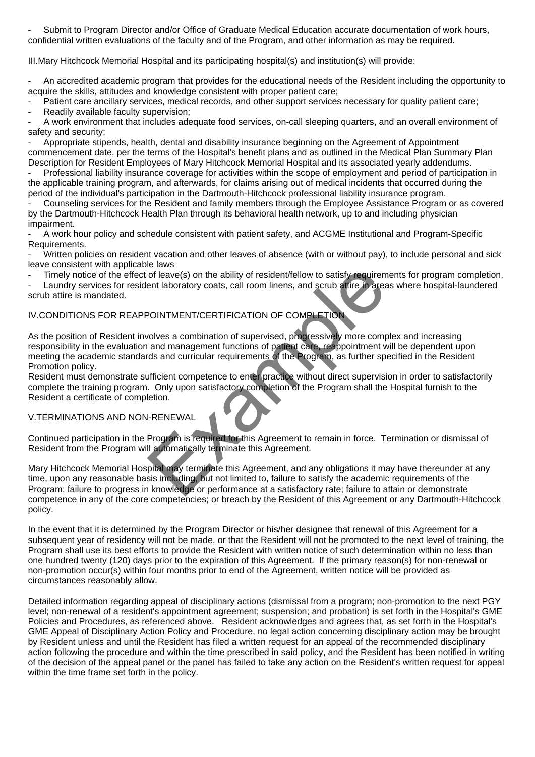- Submit to Program Director and/or Office of Graduate Medical Education accurate documentation of work hours, confidential written evaluations of the faculty and of the Program, and other information as may be required.

III. Mary Hitchcock Memorial Hospital and its participating hospital(s) and institution(s) will provide:

- An accredited academic program that provides for the educational needs of the Resident including the opportunity to acquire the skills, attitudes and knowledge consistent with proper patient care;

Patient care ancillary services, medical records, and other support services necessary for quality patient care; Readily available faculty supervision;

A work environment that includes adequate food services, on-call sleeping quarters, and an overall environment of safety and security;

Appropriate stipends, health, dental and disability insurance beginning on the Agreement of Appointment commencement date, per the terms of the Hospital's benefit plans and as outlined in the Medical Plan Summary Plan Description for Resident Employees of Mary Hitchcock Memorial Hospital and its associated yearly addendums.

Professional liability insurance coverage for activities within the scope of employment and period of participation in the applicable training program, and afterwards, for claims arising out of medical incidents that occurred during the period of the individual's participation in the Dartmouth-Hitchcock professional liability insurance program.

- Counseling services for the Resident and family members through the Employee Assistance Program or as covered by the Dartmouth-Hitchcock Health Plan through its behavioral health network, up to and including physician impairment.

- A work hour policy and schedule consistent with patient safety, and ACGME Institutional and Program-Specific Requirements.

- Written policies on resident vacation and other leaves of absence (with or without pay), to include personal and sick leave consistent with applicable laws

Timely notice of the effect of leave(s) on the ability of resident/fellow to satisfy requirements for program completion.

Laundry services for resident laboratory coats, call room linens, and scrub attire in areas where hospital-laundered scrub attire is mandated.

# IV. CONDITIONS FOR REAPPOINTMENT/CERTIFICATION OF COMPLETION

As the position of Resident involves a combination of supervised, progressively more complex and increasing responsibility in the evaluation and management functions of patient care, reappointment will be dependent upon meeting the academic standards and curricular requirements of the Program, as further specified in the Resident Promotion policy. Collective of leave(s) on the ability of resident/fellow to satisfy requirem<br>ent laboratory coats, call room linens, and scrub attire in area<br>exploratory coats, call room linens, and scrub attire in area<br>exploratory coats,

Resident must demonstrate sufficient competence to enter practice without direct supervision in order to satisfactorily complete the training program. Only upon satisfactory completion of the Program shall the Hospital furnish to the Resident a certificate of completion.

# V. TERMINATIONS AND NON-RENEWAL

Continued participation in the Program is required for this Agreement to remain in force. Termination or dismissal of Resident from the Program will automatically terminate this Agreement.

Mary Hitchcock Memorial Hospital may terminate this Agreement, and any obligations it may have thereunder at any time, upon any reasonable basis including, but not limited to, failure to satisfy the academic requirements of the Program; failure to progress in knowledge or performance at a satisfactory rate; failure to attain or demonstrate competence in any of the core competencies; or breach by the Resident of this Agreement or any Dartmouth-Hitchcock policy.

In the event that it is determined by the Program Director or his/her designee that renewal of this Agreement for a subsequent year of residency will not be made, or that the Resident will not be promoted to the next level of training, the Program shall use its best efforts to provide the Resident with written notice of such determination within no less than one hundred twenty (120) days prior to the expiration of this Agreement. If the primary reason(s) for non-renewal or non-promotion occur(s) within four months prior to end of the Agreement, written notice will be provided as circumstances reasonably allow.

Detailed information regarding appeal of disciplinary actions (dismissal from a program; non-promotion to the next PGY level; non-renewal of a resident's appointment agreement; suspension; and probation) is set forth in the Hospital's GME Policies and Procedures, as referenced above. Resident acknowledges and agrees that, as set forth in the Hospital's GME Appeal of Disciplinary Action Policy and Procedure, no legal action concerning disciplinary action may be brought by Resident unless and until the Resident has filed a written request for an appeal of the recommended disciplinary action following the procedure and within the time prescribed in said policy, and the Resident has been notified in writing of the decision of the appeal panel or the panel has failed to take any action on the Resident's written request for appeal within the time frame set forth in the policy.